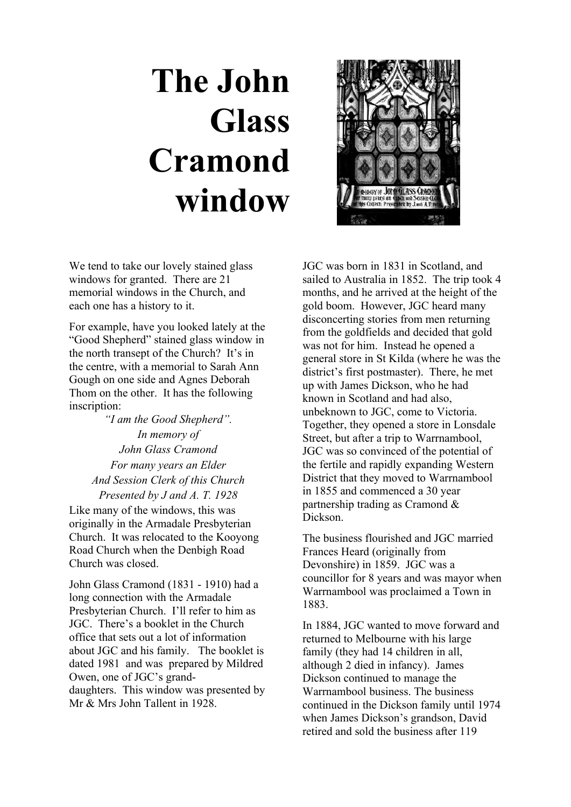## **The John Glass Cramond window**

We tend to take our lovely stained glass windows for granted. There are 21 memorial windows in the Church, and each one has a history to it.

For example, have you looked lately at the "Good Shepherd" stained glass window in the north transept of the Church? It's in the centre, with a memorial to Sarah Ann Gough on one side and Agnes Deborah Thom on the other. It has the following inscription:

> *"I am the Good Shepherd". In memory of John Glass Cramond For many years an Elder And Session Clerk of this Church Presented by J and A. T. 1928*

Like many of the windows, this was originally in the Armadale Presbyterian Church. It was relocated to the Kooyong Road Church when the Denbigh Road Church was closed.

John Glass Cramond (1831 - 1910) had a long connection with the Armadale Presbyterian Church. I'll refer to him as JGC. There's a booklet in the Church office that sets out a lot of information about JGC and his family. The booklet is dated 1981 and was prepared by Mildred Owen, one of JGC's grand-

daughters. This window was presented by Mr & Mrs John Tallent in 1928.



JGC was born in 1831 in Scotland, and sailed to Australia in 1852. The trip took 4 months, and he arrived at the height of the gold boom. However, JGC heard many disconcerting stories from men returning from the goldfields and decided that gold was not for him. Instead he opened a general store in St Kilda (where he was the district's first postmaster). There, he met up with James Dickson, who he had known in Scotland and had also, unbeknown to JGC, come to Victoria. Together, they opened a store in Lonsdale Street, but after a trip to Warrnambool, JGC was so convinced of the potential of the fertile and rapidly expanding Western District that they moved to Warrnambool in 1855 and commenced a 30 year partnership trading as Cramond & Dickson.

The business flourished and JGC married Frances Heard (originally from Devonshire) in 1859. JGC was a councillor for 8 years and was mayor when Warrnambool was proclaimed a Town in 1883.

In 1884, JGC wanted to move forward and returned to Melbourne with his large family (they had 14 children in all, although 2 died in infancy). James Dickson continued to manage the Warrnambool business. The business continued in the Dickson family until 1974 when James Dickson's grandson, David retired and sold the business after 119